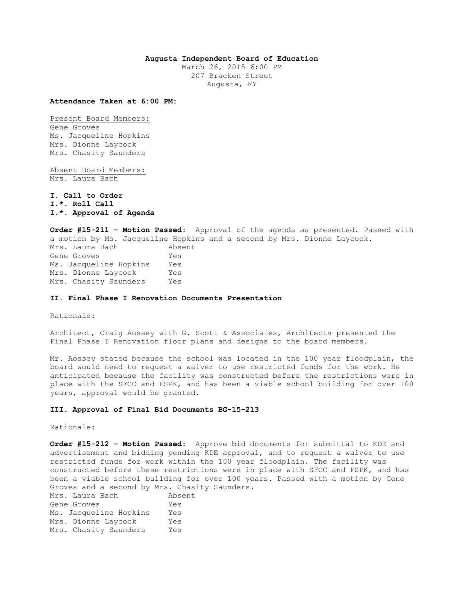## **Augusta Independent Board of Education**

March 26, 2015 6:00 PM 207 Bracken Street Augusta, KY

**Attendance Taken at 6:00 PM:**

Present Board Members: Gene Groves Ms. Jacqueline Hopkins Mrs. Dionne Laycock Mrs. Chasity Saunders

Absent Board Members: Mrs. Laura Bach

**I. Call to Order I.\*. Roll Call I.\*. Approval of Agenda** 

**Order #15-211 - Motion Passed:** Approval of the agenda as presented. Passed with a motion by Ms. Jacqueline Hopkins and a second by Mrs. Dionne Laycock. Mrs. Laura Bach Absent Gene Groves Yes Ms. Jacqueline Hopkins Yes Mrs. Dionne Laycock Yes Mrs. Chasity Saunders Yes

## **II. Final Phase I Renovation Documents Presentation**

Rationale:

Architect, Craig Aossey with G. Scott & Associates, Architects presented the Final Phase I Renovation floor plans and designs to the board members.

Mr. Aossey stated because the school was located in the 100 year floodplain, the board would need to request a waiver to use restricted funds for the work. He anticipated because the facility was constructed before the restrictions were in place with the SFCC and FSPK, and has been a viable school building for over 100 years, approval would be granted.

## **III. Approval of Final Bid Documents BG-15-213**

Rationale:

**Order #15-212 - Motion Passed:** Approve bid documents for submittal to KDE and advertisement and bidding pending KDE approval, and to request a waiver to use restricted funds for work within the 100 year floodplain. The facility was constructed before these restrictions were in place with SFCC and FSPK, and has been a viable school building for over 100 years. Passed with a motion by Gene Groves and a second by Mrs. Chasity Saunders. Mrs. Laura Bach Absent Gene Groves Tes Ms. Jacqueline Hopkins Yes Mrs. Dionne Laycock Yes Mrs. Chasity Saunders Yes